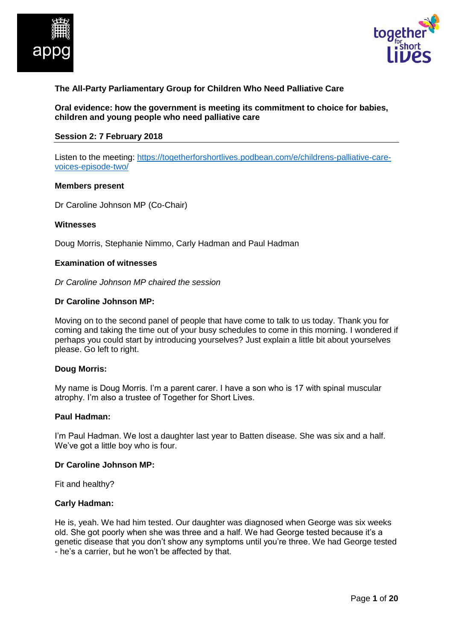



## **The All-Party Parliamentary Group for Children Who Need Palliative Care**

**Oral evidence: how the government is meeting its commitment to choice for babies, children and young people who need palliative care**

#### **Session 2: 7 February 2018**

Listen to the meeting: [https://togetherforshortlives.podbean.com/e/childrens-palliative-care](https://togetherforshortlives.podbean.com/e/childrens-palliative-care-voices-episode-two/)[voices-episode-two/](https://togetherforshortlives.podbean.com/e/childrens-palliative-care-voices-episode-two/)

#### **Members present**

Dr Caroline Johnson MP (Co-Chair)

#### **Witnesses**

Doug Morris, Stephanie Nimmo, Carly Hadman and Paul Hadman

### **Examination of witnesses**

*Dr Caroline Johnson MP chaired the session*

#### **Dr Caroline Johnson MP:**

Moving on to the second panel of people that have come to talk to us today. Thank you for coming and taking the time out of your busy schedules to come in this morning. I wondered if perhaps you could start by introducing yourselves? Just explain a little bit about yourselves please. Go left to right.

### **Doug Morris:**

My name is Doug Morris. I'm a parent carer. I have a son who is 17 with spinal muscular atrophy. I'm also a trustee of Together for Short Lives.

#### **Paul Hadman:**

I'm Paul Hadman. We lost a daughter last year to Batten disease. She was six and a half. We've got a little boy who is four.

### **Dr Caroline Johnson MP:**

Fit and healthy?

### **Carly Hadman:**

He is, yeah. We had him tested. Our daughter was diagnosed when George was six weeks old. She got poorly when she was three and a half. We had George tested because it's a genetic disease that you don't show any symptoms until you're three. We had George tested - he's a carrier, but he won't be affected by that.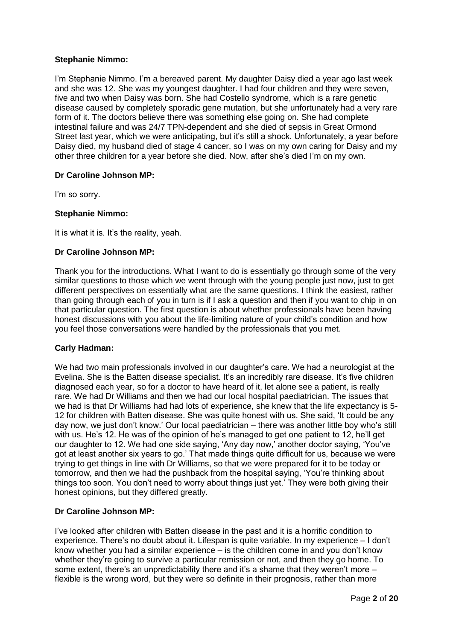## **Stephanie Nimmo:**

I'm Stephanie Nimmo. I'm a bereaved parent. My daughter Daisy died a year ago last week and she was 12. She was my youngest daughter. I had four children and they were seven, five and two when Daisy was born. She had Costello syndrome, which is a rare genetic disease caused by completely sporadic gene mutation, but she unfortunately had a very rare form of it. The doctors believe there was something else going on. She had complete intestinal failure and was 24/7 TPN-dependent and she died of sepsis in Great Ormond Street last year, which we were anticipating, but it's still a shock. Unfortunately, a year before Daisy died, my husband died of stage 4 cancer, so I was on my own caring for Daisy and my other three children for a year before she died. Now, after she's died I'm on my own.

## **Dr Caroline Johnson MP:**

I'm so sorry.

## **Stephanie Nimmo:**

It is what it is. It's the reality, yeah.

## **Dr Caroline Johnson MP:**

Thank you for the introductions. What I want to do is essentially go through some of the very similar questions to those which we went through with the young people just now, just to get different perspectives on essentially what are the same questions. I think the easiest, rather than going through each of you in turn is if I ask a question and then if you want to chip in on that particular question. The first question is about whether professionals have been having honest discussions with you about the life-limiting nature of your child's condition and how you feel those conversations were handled by the professionals that you met.

### **Carly Hadman:**

We had two main professionals involved in our daughter's care. We had a neurologist at the Evelina. She is the Batten disease specialist. It's an incredibly rare disease. It's five children diagnosed each year, so for a doctor to have heard of it, let alone see a patient, is really rare. We had Dr Williams and then we had our local hospital paediatrician. The issues that we had is that Dr Williams had had lots of experience, she knew that the life expectancy is 5- 12 for children with Batten disease. She was quite honest with us. She said, 'It could be any day now, we just don't know.' Our local paediatrician – there was another little boy who's still with us. He's 12. He was of the opinion of he's managed to get one patient to 12, he'll get our daughter to 12. We had one side saying, 'Any day now,' another doctor saying, 'You've got at least another six years to go.' That made things quite difficult for us, because we were trying to get things in line with Dr Williams, so that we were prepared for it to be today or tomorrow, and then we had the pushback from the hospital saying, 'You're thinking about things too soon. You don't need to worry about things just yet.' They were both giving their honest opinions, but they differed greatly.

## **Dr Caroline Johnson MP:**

I've looked after children with Batten disease in the past and it is a horrific condition to experience. There's no doubt about it. Lifespan is quite variable. In my experience – I don't know whether you had a similar experience – is the children come in and you don't know whether they're going to survive a particular remission or not, and then they go home. To some extent, there's an unpredictability there and it's a shame that they weren't more – flexible is the wrong word, but they were so definite in their prognosis, rather than more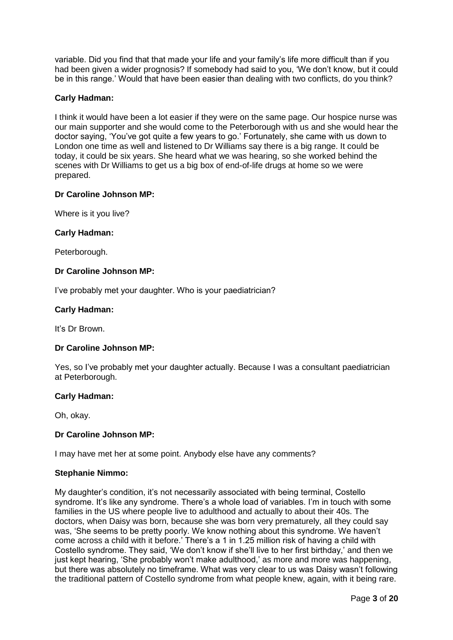variable. Did you find that that made your life and your family's life more difficult than if you had been given a wider prognosis? If somebody had said to you, 'We don't know, but it could be in this range.' Would that have been easier than dealing with two conflicts, do you think?

## **Carly Hadman:**

I think it would have been a lot easier if they were on the same page. Our hospice nurse was our main supporter and she would come to the Peterborough with us and she would hear the doctor saying, 'You've got quite a few years to go.' Fortunately, she came with us down to London one time as well and listened to Dr Williams say there is a big range. It could be today, it could be six years. She heard what we was hearing, so she worked behind the scenes with Dr Williams to get us a big box of end-of-life drugs at home so we were prepared.

## **Dr Caroline Johnson MP:**

Where is it you live?

## **Carly Hadman:**

Peterborough.

## **Dr Caroline Johnson MP:**

I've probably met your daughter. Who is your paediatrician?

## **Carly Hadman:**

It's Dr Brown.

### **Dr Caroline Johnson MP:**

Yes, so I've probably met your daughter actually. Because I was a consultant paediatrician at Peterborough.

### **Carly Hadman:**

Oh, okay.

### **Dr Caroline Johnson MP:**

I may have met her at some point. Anybody else have any comments?

### **Stephanie Nimmo:**

My daughter's condition, it's not necessarily associated with being terminal, Costello syndrome. It's like any syndrome. There's a whole load of variables. I'm in touch with some families in the US where people live to adulthood and actually to about their 40s. The doctors, when Daisy was born, because she was born very prematurely, all they could say was, 'She seems to be pretty poorly. We know nothing about this syndrome. We haven't come across a child with it before.' There's a 1 in 1.25 million risk of having a child with Costello syndrome. They said, 'We don't know if she'll live to her first birthday,' and then we just kept hearing, 'She probably won't make adulthood,' as more and more was happening, but there was absolutely no timeframe. What was very clear to us was Daisy wasn't following the traditional pattern of Costello syndrome from what people knew, again, with it being rare.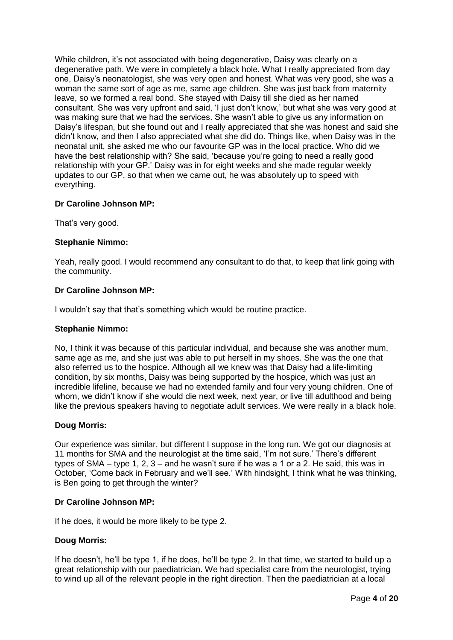While children, it's not associated with being degenerative, Daisy was clearly on a degenerative path. We were in completely a black hole. What I really appreciated from day one, Daisy's neonatologist, she was very open and honest. What was very good, she was a woman the same sort of age as me, same age children. She was just back from maternity leave, so we formed a real bond. She stayed with Daisy till she died as her named consultant. She was very upfront and said, 'I just don't know,' but what she was very good at was making sure that we had the services. She wasn't able to give us any information on Daisy's lifespan, but she found out and I really appreciated that she was honest and said she didn't know, and then I also appreciated what she did do. Things like, when Daisy was in the neonatal unit, she asked me who our favourite GP was in the local practice. Who did we have the best relationship with? She said, 'because you're going to need a really good relationship with your GP.' Daisy was in for eight weeks and she made regular weekly updates to our GP, so that when we came out, he was absolutely up to speed with everything.

## **Dr Caroline Johnson MP:**

That's very good.

## **Stephanie Nimmo:**

Yeah, really good. I would recommend any consultant to do that, to keep that link going with the community.

### **Dr Caroline Johnson MP:**

I wouldn't say that that's something which would be routine practice.

### **Stephanie Nimmo:**

No, I think it was because of this particular individual, and because she was another mum, same age as me, and she just was able to put herself in my shoes. She was the one that also referred us to the hospice. Although all we knew was that Daisy had a life-limiting condition, by six months, Daisy was being supported by the hospice, which was just an incredible lifeline, because we had no extended family and four very young children. One of whom, we didn't know if she would die next week, next year, or live till adulthood and being like the previous speakers having to negotiate adult services. We were really in a black hole.

### **Doug Morris:**

Our experience was similar, but different I suppose in the long run. We got our diagnosis at 11 months for SMA and the neurologist at the time said, 'I'm not sure.' There's different types of SMA – type 1, 2, 3 – and he wasn't sure if he was a 1 or a 2. He said, this was in October, 'Come back in February and we'll see.' With hindsight, I think what he was thinking, is Ben going to get through the winter?

### **Dr Caroline Johnson MP:**

If he does, it would be more likely to be type 2.

### **Doug Morris:**

If he doesn't, he'll be type 1, if he does, he'll be type 2. In that time, we started to build up a great relationship with our paediatrician. We had specialist care from the neurologist, trying to wind up all of the relevant people in the right direction. Then the paediatrician at a local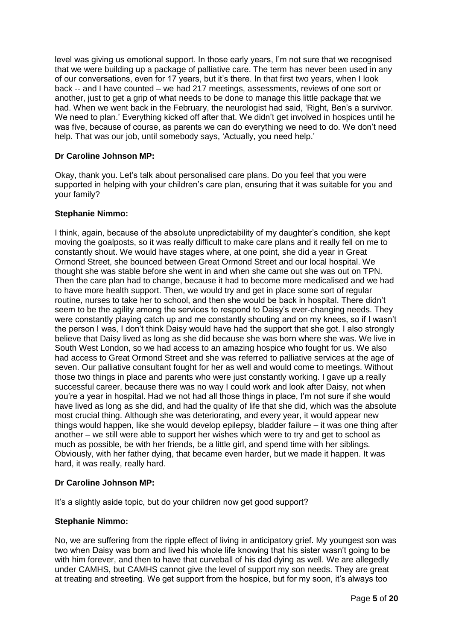level was giving us emotional support. In those early years, I'm not sure that we recognised that we were building up a package of palliative care. The term has never been used in any of our conversations, even for 17 years, but it's there. In that first two years, when I look back -- and I have counted – we had 217 meetings, assessments, reviews of one sort or another, just to get a grip of what needs to be done to manage this little package that we had. When we went back in the February, the neurologist had said, 'Right, Ben's a survivor. We need to plan.' Everything kicked off after that. We didn't get involved in hospices until he was five, because of course, as parents we can do everything we need to do. We don't need help. That was our job, until somebody says, 'Actually, you need help.'

## **Dr Caroline Johnson MP:**

Okay, thank you. Let's talk about personalised care plans. Do you feel that you were supported in helping with your children's care plan, ensuring that it was suitable for you and your family?

## **Stephanie Nimmo:**

I think, again, because of the absolute unpredictability of my daughter's condition, she kept moving the goalposts, so it was really difficult to make care plans and it really fell on me to constantly shout. We would have stages where, at one point, she did a year in Great Ormond Street, she bounced between Great Ormond Street and our local hospital. We thought she was stable before she went in and when she came out she was out on TPN. Then the care plan had to change, because it had to become more medicalised and we had to have more health support. Then, we would try and get in place some sort of regular routine, nurses to take her to school, and then she would be back in hospital. There didn't seem to be the agility among the services to respond to Daisy's ever-changing needs. They were constantly playing catch up and me constantly shouting and on my knees, so if I wasn't the person I was, I don't think Daisy would have had the support that she got. I also strongly believe that Daisy lived as long as she did because she was born where she was. We live in South West London, so we had access to an amazing hospice who fought for us. We also had access to Great Ormond Street and she was referred to palliative services at the age of seven. Our palliative consultant fought for her as well and would come to meetings. Without those two things in place and parents who were just constantly working. I gave up a really successful career, because there was no way I could work and look after Daisy, not when you're a year in hospital. Had we not had all those things in place, I'm not sure if she would have lived as long as she did, and had the quality of life that she did, which was the absolute most crucial thing. Although she was deteriorating, and every year, it would appear new things would happen, like she would develop epilepsy, bladder failure – it was one thing after another – we still were able to support her wishes which were to try and get to school as much as possible, be with her friends, be a little girl, and spend time with her siblings. Obviously, with her father dying, that became even harder, but we made it happen. It was hard, it was really, really hard.

## **Dr Caroline Johnson MP:**

It's a slightly aside topic, but do your children now get good support?

## **Stephanie Nimmo:**

No, we are suffering from the ripple effect of living in anticipatory grief. My youngest son was two when Daisy was born and lived his whole life knowing that his sister wasn't going to be with him forever, and then to have that curveball of his dad dying as well. We are allegedly under CAMHS, but CAMHS cannot give the level of support my son needs. They are great at treating and streeting. We get support from the hospice, but for my soon, it's always too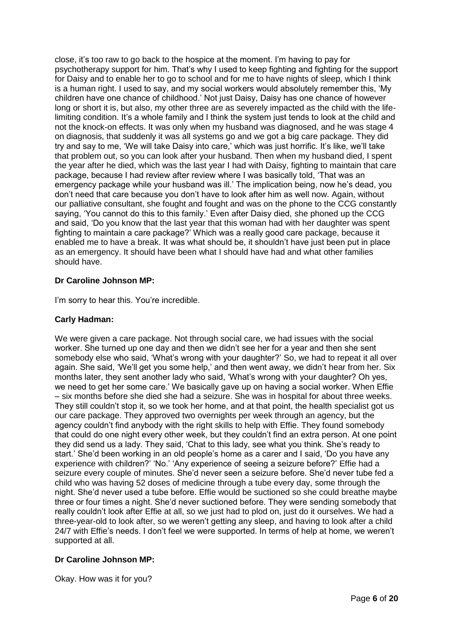close, it's too raw to go back to the hospice at the moment. I'm having to pay for psychotherapy support for him. That's why I used to keep fighting and fighting for the support for Daisy and to enable her to go to school and for me to have nights of sleep, which I think is a human right. I used to say, and my social workers would absolutely remember this, 'My children have one chance of childhood.' Not just Daisy, Daisy has one chance of however long or short it is, but also, my other three are as severely impacted as the child with the lifelimiting condition. It's a whole family and I think the system just tends to look at the child and not the knock-on effects. It was only when my husband was diagnosed, and he was stage 4 on diagnosis, that suddenly it was all systems go and we got a big care package. They did try and say to me, 'We will take Daisy into care,' which was just horrific. It's like, we'll take that problem out, so you can look after your husband. Then when my husband died, I spent the year after he died, which was the last year I had with Daisy, fighting to maintain that care package, because I had review after review where I was basically told, 'That was an emergency package while your husband was ill.' The implication being, now he's dead, you don't need that care because you don't have to look after him as well now. Again, without our palliative consultant, she fought and fought and was on the phone to the CCG constantly saying, 'You cannot do this to this family.' Even after Daisy died, she phoned up the CCG and said, 'Do you know that the last year that this woman had with her daughter was spent fighting to maintain a care package?' Which was a really good care package, because it enabled me to have a break. It was what should be, it shouldn't have just been put in place as an emergency. It should have been what I should have had and what other families should have.

# **Dr Caroline Johnson MP:**

I'm sorry to hear this. You're incredible.

## **Carly Hadman:**

We were given a care package. Not through social care, we had issues with the social worker. She turned up one day and then we didn't see her for a year and then she sent somebody else who said, 'What's wrong with your daughter?' So, we had to repeat it all over again. She said, 'We'll get you some help,' and then went away, we didn't hear from her. Six months later, they sent another lady who said, 'What's wrong with your daughter? Oh yes, we need to get her some care.' We basically gave up on having a social worker. When Effie – six months before she died she had a seizure. She was in hospital for about three weeks. They still couldn't stop it, so we took her home, and at that point, the health specialist got us our care package. They approved two overnights per week through an agency, but the agency couldn't find anybody with the right skills to help with Effie. They found somebody that could do one night every other week, but they couldn't find an extra person. At one point they did send us a lady. They said, 'Chat to this lady, see what you think. She's ready to start.' She'd been working in an old people's home as a carer and I said, 'Do you have any experience with children?' 'No.' 'Any experience of seeing a seizure before?' Effie had a seizure every couple of minutes. She'd never seen a seizure before. She'd never tube fed a child who was having 52 doses of medicine through a tube every day, some through the night. She'd never used a tube before. Effie would be suctioned so she could breathe maybe three or four times a night. She'd never suctioned before. They were sending somebody that really couldn't look after Effie at all, so we just had to plod on, just do it ourselves. We had a three-year-old to look after, so we weren't getting any sleep, and having to look after a child 24/7 with Effie's needs. I don't feel we were supported. In terms of help at home, we weren't supported at all.

# **Dr Caroline Johnson MP:**

Okay. How was it for you?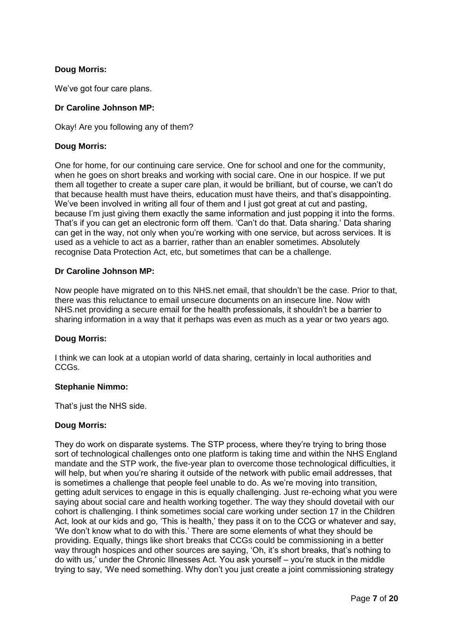# **Doug Morris:**

We've got four care plans.

## **Dr Caroline Johnson MP:**

Okay! Are you following any of them?

## **Doug Morris:**

One for home, for our continuing care service. One for school and one for the community, when he goes on short breaks and working with social care. One in our hospice. If we put them all together to create a super care plan, it would be brilliant, but of course, we can't do that because health must have theirs, education must have theirs, and that's disappointing. We've been involved in writing all four of them and I just got great at cut and pasting, because I'm just giving them exactly the same information and just popping it into the forms. That's if you can get an electronic form off them. 'Can't do that. Data sharing.' Data sharing can get in the way, not only when you're working with one service, but across services. It is used as a vehicle to act as a barrier, rather than an enabler sometimes. Absolutely recognise Data Protection Act, etc, but sometimes that can be a challenge.

## **Dr Caroline Johnson MP:**

Now people have migrated on to this NHS.net email, that shouldn't be the case. Prior to that, there was this reluctance to email unsecure documents on an insecure line. Now with NHS.net providing a secure email for the health professionals, it shouldn't be a barrier to sharing information in a way that it perhaps was even as much as a year or two years ago.

### **Doug Morris:**

I think we can look at a utopian world of data sharing, certainly in local authorities and CCGs.

### **Stephanie Nimmo:**

That's just the NHS side.

## **Doug Morris:**

They do work on disparate systems. The STP process, where they're trying to bring those sort of technological challenges onto one platform is taking time and within the NHS England mandate and the STP work, the five-year plan to overcome those technological difficulties, it will help, but when you're sharing it outside of the network with public email addresses, that is sometimes a challenge that people feel unable to do. As we're moving into transition, getting adult services to engage in this is equally challenging. Just re-echoing what you were saying about social care and health working together. The way they should dovetail with our cohort is challenging. I think sometimes social care working under section 17 in the Children Act, look at our kids and go, 'This is health,' they pass it on to the CCG or whatever and say, 'We don't know what to do with this.' There are some elements of what they should be providing. Equally, things like short breaks that CCGs could be commissioning in a better way through hospices and other sources are saying, 'Oh, it's short breaks, that's nothing to do with us,' under the Chronic Illnesses Act. You ask yourself – you're stuck in the middle trying to say, 'We need something. Why don't you just create a joint commissioning strategy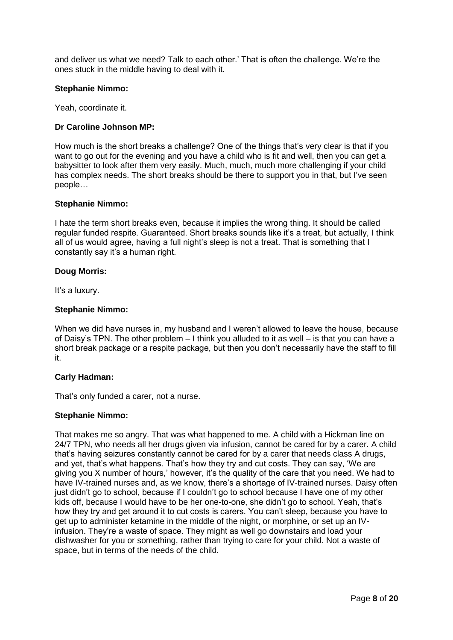and deliver us what we need? Talk to each other.' That is often the challenge. We're the ones stuck in the middle having to deal with it.

### **Stephanie Nimmo:**

Yeah, coordinate it.

## **Dr Caroline Johnson MP:**

How much is the short breaks a challenge? One of the things that's very clear is that if you want to go out for the evening and you have a child who is fit and well, then you can get a babysitter to look after them very easily. Much, much, much more challenging if your child has complex needs. The short breaks should be there to support you in that, but I've seen people…

## **Stephanie Nimmo:**

I hate the term short breaks even, because it implies the wrong thing. It should be called regular funded respite. Guaranteed. Short breaks sounds like it's a treat, but actually, I think all of us would agree, having a full night's sleep is not a treat. That is something that I constantly say it's a human right.

## **Doug Morris:**

It's a luxury.

## **Stephanie Nimmo:**

When we did have nurses in, my husband and I weren't allowed to leave the house, because of Daisy's TPN. The other problem – I think you alluded to it as well – is that you can have a short break package or a respite package, but then you don't necessarily have the staff to fill it.

### **Carly Hadman:**

That's only funded a carer, not a nurse.

## **Stephanie Nimmo:**

That makes me so angry. That was what happened to me. A child with a Hickman line on 24/7 TPN, who needs all her drugs given via infusion, cannot be cared for by a carer. A child that's having seizures constantly cannot be cared for by a carer that needs class A drugs, and yet, that's what happens. That's how they try and cut costs. They can say, 'We are giving you X number of hours,' however, it's the quality of the care that you need. We had to have IV-trained nurses and, as we know, there's a shortage of IV-trained nurses. Daisy often just didn't go to school, because if I couldn't go to school because I have one of my other kids off, because I would have to be her one-to-one, she didn't go to school. Yeah, that's how they try and get around it to cut costs is carers. You can't sleep, because you have to get up to administer ketamine in the middle of the night, or morphine, or set up an IVinfusion. They're a waste of space. They might as well go downstairs and load your dishwasher for you or something, rather than trying to care for your child. Not a waste of space, but in terms of the needs of the child.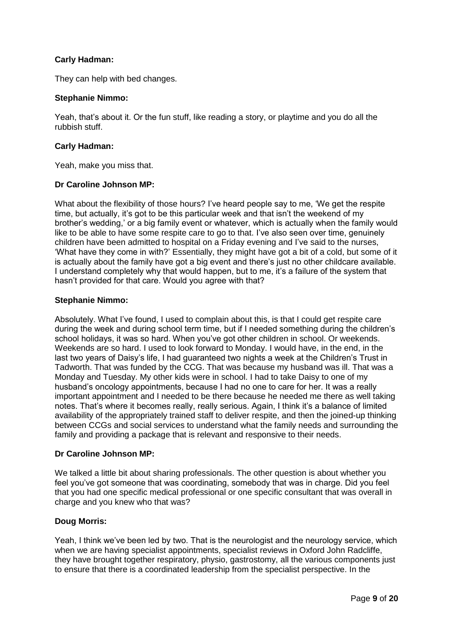## **Carly Hadman:**

They can help with bed changes.

### **Stephanie Nimmo:**

Yeah, that's about it. Or the fun stuff, like reading a story, or playtime and you do all the rubbish stuff.

## **Carly Hadman:**

Yeah, make you miss that.

## **Dr Caroline Johnson MP:**

What about the flexibility of those hours? I've heard people say to me, 'We get the respite time, but actually, it's got to be this particular week and that isn't the weekend of my brother's wedding,' or a big family event or whatever, which is actually when the family would like to be able to have some respite care to go to that. I've also seen over time, genuinely children have been admitted to hospital on a Friday evening and I've said to the nurses, 'What have they come in with?' Essentially, they might have got a bit of a cold, but some of it is actually about the family have got a big event and there's just no other childcare available. I understand completely why that would happen, but to me, it's a failure of the system that hasn't provided for that care. Would you agree with that?

## **Stephanie Nimmo:**

Absolutely. What I've found, I used to complain about this, is that I could get respite care during the week and during school term time, but if I needed something during the children's school holidays, it was so hard. When you've got other children in school. Or weekends. Weekends are so hard. I used to look forward to Monday. I would have, in the end, in the last two years of Daisy's life, I had guaranteed two nights a week at the Children's Trust in Tadworth. That was funded by the CCG. That was because my husband was ill. That was a Monday and Tuesday. My other kids were in school. I had to take Daisy to one of my husband's oncology appointments, because I had no one to care for her. It was a really important appointment and I needed to be there because he needed me there as well taking notes. That's where it becomes really, really serious. Again, I think it's a balance of limited availability of the appropriately trained staff to deliver respite, and then the joined-up thinking between CCGs and social services to understand what the family needs and surrounding the family and providing a package that is relevant and responsive to their needs.

## **Dr Caroline Johnson MP:**

We talked a little bit about sharing professionals. The other question is about whether you feel you've got someone that was coordinating, somebody that was in charge. Did you feel that you had one specific medical professional or one specific consultant that was overall in charge and you knew who that was?

## **Doug Morris:**

Yeah, I think we've been led by two. That is the neurologist and the neurology service, which when we are having specialist appointments, specialist reviews in Oxford John Radcliffe, they have brought together respiratory, physio, gastrostomy, all the various components just to ensure that there is a coordinated leadership from the specialist perspective. In the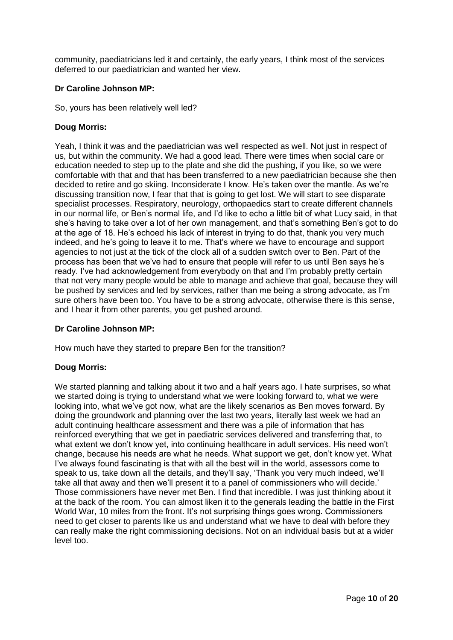community, paediatricians led it and certainly, the early years, I think most of the services deferred to our paediatrician and wanted her view.

## **Dr Caroline Johnson MP:**

So, yours has been relatively well led?

# **Doug Morris:**

Yeah, I think it was and the paediatrician was well respected as well. Not just in respect of us, but within the community. We had a good lead. There were times when social care or education needed to step up to the plate and she did the pushing, if you like, so we were comfortable with that and that has been transferred to a new paediatrician because she then decided to retire and go skiing. Inconsiderate I know. He's taken over the mantle. As we're discussing transition now, I fear that that is going to get lost. We will start to see disparate specialist processes. Respiratory, neurology, orthopaedics start to create different channels in our normal life, or Ben's normal life, and I'd like to echo a little bit of what Lucy said, in that she's having to take over a lot of her own management, and that's something Ben's got to do at the age of 18. He's echoed his lack of interest in trying to do that, thank you very much indeed, and he's going to leave it to me. That's where we have to encourage and support agencies to not just at the tick of the clock all of a sudden switch over to Ben. Part of the process has been that we've had to ensure that people will refer to us until Ben says he's ready. I've had acknowledgement from everybody on that and I'm probably pretty certain that not very many people would be able to manage and achieve that goal, because they will be pushed by services and led by services, rather than me being a strong advocate, as I'm sure others have been too. You have to be a strong advocate, otherwise there is this sense, and I hear it from other parents, you get pushed around.

## **Dr Caroline Johnson MP:**

How much have they started to prepare Ben for the transition?

# **Doug Morris:**

We started planning and talking about it two and a half years ago. I hate surprises, so what we started doing is trying to understand what we were looking forward to, what we were looking into, what we've got now, what are the likely scenarios as Ben moves forward. By doing the groundwork and planning over the last two years, literally last week we had an adult continuing healthcare assessment and there was a pile of information that has reinforced everything that we get in paediatric services delivered and transferring that, to what extent we don't know yet, into continuing healthcare in adult services. His need won't change, because his needs are what he needs. What support we get, don't know yet. What I've always found fascinating is that with all the best will in the world, assessors come to speak to us, take down all the details, and they'll say, 'Thank you very much indeed, we'll take all that away and then we'll present it to a panel of commissioners who will decide.' Those commissioners have never met Ben. I find that incredible. I was just thinking about it at the back of the room. You can almost liken it to the generals leading the battle in the First World War, 10 miles from the front. It's not surprising things goes wrong. Commissioners need to get closer to parents like us and understand what we have to deal with before they can really make the right commissioning decisions. Not on an individual basis but at a wider level too.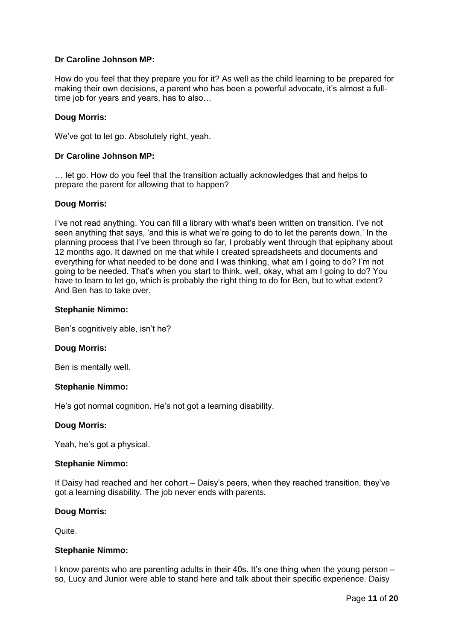## **Dr Caroline Johnson MP:**

How do you feel that they prepare you for it? As well as the child learning to be prepared for making their own decisions, a parent who has been a powerful advocate, it's almost a fulltime job for years and years, has to also...

## **Doug Morris:**

We've got to let go. Absolutely right, yeah.

## **Dr Caroline Johnson MP:**

… let go. How do you feel that the transition actually acknowledges that and helps to prepare the parent for allowing that to happen?

## **Doug Morris:**

I've not read anything. You can fill a library with what's been written on transition. I've not seen anything that says, 'and this is what we're going to do to let the parents down.' In the planning process that I've been through so far, I probably went through that epiphany about 12 months ago. It dawned on me that while I created spreadsheets and documents and everything for what needed to be done and I was thinking, what am I going to do? I'm not going to be needed. That's when you start to think, well, okay, what am I going to do? You have to learn to let go, which is probably the right thing to do for Ben, but to what extent? And Ben has to take over.

## **Stephanie Nimmo:**

Ben's cognitively able, isn't he?

## **Doug Morris:**

Ben is mentally well.

## **Stephanie Nimmo:**

He's got normal cognition. He's not got a learning disability.

## **Doug Morris:**

Yeah, he's got a physical.

### **Stephanie Nimmo:**

If Daisy had reached and her cohort – Daisy's peers, when they reached transition, they've got a learning disability. The job never ends with parents.

### **Doug Morris:**

Quite.

### **Stephanie Nimmo:**

I know parents who are parenting adults in their 40s. It's one thing when the young person – so, Lucy and Junior were able to stand here and talk about their specific experience. Daisy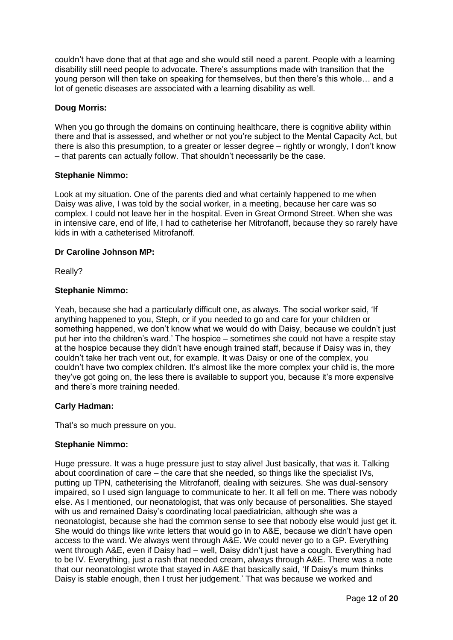couldn't have done that at that age and she would still need a parent. People with a learning disability still need people to advocate. There's assumptions made with transition that the young person will then take on speaking for themselves, but then there's this whole… and a lot of genetic diseases are associated with a learning disability as well.

## **Doug Morris:**

When you go through the domains on continuing healthcare, there is cognitive ability within there and that is assessed, and whether or not you're subject to the Mental Capacity Act, but there is also this presumption, to a greater or lesser degree – rightly or wrongly, I don't know – that parents can actually follow. That shouldn't necessarily be the case.

## **Stephanie Nimmo:**

Look at my situation. One of the parents died and what certainly happened to me when Daisy was alive, I was told by the social worker, in a meeting, because her care was so complex. I could not leave her in the hospital. Even in Great Ormond Street. When she was in intensive care, end of life, I had to catheterise her Mitrofanoff, because they so rarely have kids in with a catheterised Mitrofanoff.

## **Dr Caroline Johnson MP:**

Really?

## **Stephanie Nimmo:**

Yeah, because she had a particularly difficult one, as always. The social worker said, 'If anything happened to you, Steph, or if you needed to go and care for your children or something happened, we don't know what we would do with Daisy, because we couldn't just put her into the children's ward.' The hospice – sometimes she could not have a respite stay at the hospice because they didn't have enough trained staff, because if Daisy was in, they couldn't take her trach vent out, for example. It was Daisy or one of the complex, you couldn't have two complex children. It's almost like the more complex your child is, the more they've got going on, the less there is available to support you, because it's more expensive and there's more training needed.

## **Carly Hadman:**

That's so much pressure on you.

### **Stephanie Nimmo:**

Huge pressure. It was a huge pressure just to stay alive! Just basically, that was it. Talking about coordination of care – the care that she needed, so things like the specialist IVs, putting up TPN, catheterising the Mitrofanoff, dealing with seizures. She was dual-sensory impaired, so I used sign language to communicate to her. It all fell on me. There was nobody else. As I mentioned, our neonatologist, that was only because of personalities. She stayed with us and remained Daisy's coordinating local paediatrician, although she was a neonatologist, because she had the common sense to see that nobody else would just get it. She would do things like write letters that would go in to A&E, because we didn't have open access to the ward. We always went through A&E. We could never go to a GP. Everything went through A&E, even if Daisy had – well. Daisy didn't just have a cough. Everything had to be IV. Everything, just a rash that needed cream, always through A&E. There was a note that our neonatologist wrote that stayed in A&E that basically said, 'If Daisy's mum thinks Daisy is stable enough, then I trust her judgement.' That was because we worked and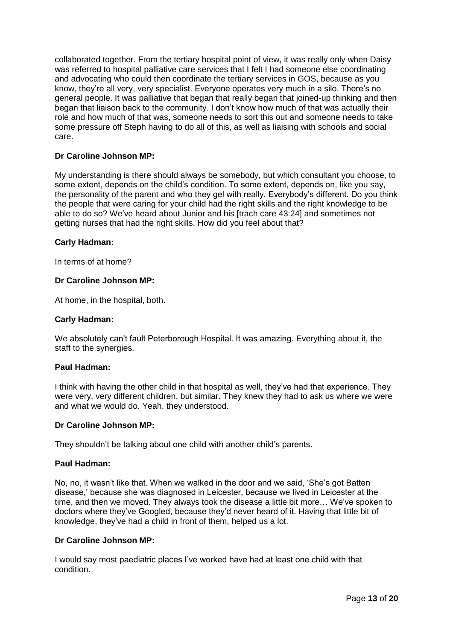collaborated together. From the tertiary hospital point of view, it was really only when Daisy was referred to hospital palliative care services that I felt I had someone else coordinating and advocating who could then coordinate the tertiary services in GOS, because as you know, they're all very, very specialist. Everyone operates very much in a silo. There's no general people. It was palliative that began that really began that joined-up thinking and then began that liaison back to the community. I don't know how much of that was actually their role and how much of that was, someone needs to sort this out and someone needs to take some pressure off Steph having to do all of this, as well as liaising with schools and social care.

## **Dr Caroline Johnson MP:**

My understanding is there should always be somebody, but which consultant you choose, to some extent, depends on the child's condition. To some extent, depends on, like you say, the personality of the parent and who they gel with really. Everybody's different. Do you think the people that were caring for your child had the right skills and the right knowledge to be able to do so? We've heard about Junior and his [trach care 43:24] and sometimes not getting nurses that had the right skills. How did you feel about that?

### **Carly Hadman:**

In terms of at home?

## **Dr Caroline Johnson MP:**

At home, in the hospital, both.

## **Carly Hadman:**

We absolutely can't fault Peterborough Hospital. It was amazing. Everything about it, the staff to the synergies.

### **Paul Hadman:**

I think with having the other child in that hospital as well, they've had that experience. They were very, very different children, but similar. They knew they had to ask us where we were and what we would do. Yeah, they understood.

### **Dr Caroline Johnson MP:**

They shouldn't be talking about one child with another child's parents.

### **Paul Hadman:**

No, no, it wasn't like that. When we walked in the door and we said, 'She's got Batten disease,' because she was diagnosed in Leicester, because we lived in Leicester at the time, and then we moved. They always took the disease a little bit more… We've spoken to doctors where they've Googled, because they'd never heard of it. Having that little bit of knowledge, they've had a child in front of them, helped us a lot.

## **Dr Caroline Johnson MP:**

I would say most paediatric places I've worked have had at least one child with that condition.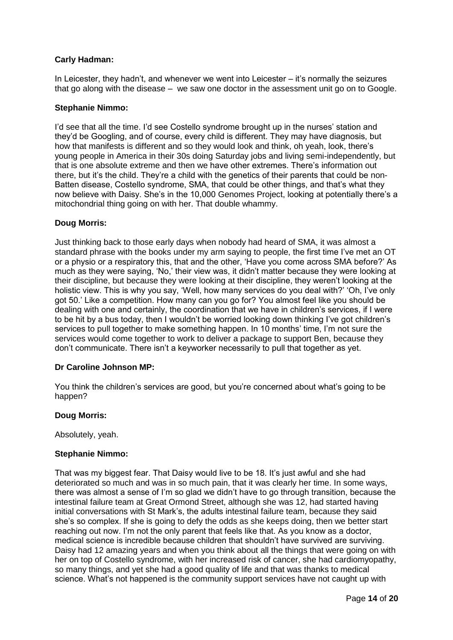## **Carly Hadman:**

In Leicester, they hadn't, and whenever we went into Leicester – it's normally the seizures that go along with the disease – we saw one doctor in the assessment unit go on to Google.

### **Stephanie Nimmo:**

I'd see that all the time. I'd see Costello syndrome brought up in the nurses' station and they'd be Googling, and of course, every child is different. They may have diagnosis, but how that manifests is different and so they would look and think, oh yeah, look, there's young people in America in their 30s doing Saturday jobs and living semi-independently, but that is one absolute extreme and then we have other extremes. There's information out there, but it's the child. They're a child with the genetics of their parents that could be non-Batten disease, Costello syndrome, SMA, that could be other things, and that's what they now believe with Daisy. She's in the 10,000 Genomes Project, looking at potentially there's a mitochondrial thing going on with her. That double whammy.

## **Doug Morris:**

Just thinking back to those early days when nobody had heard of SMA, it was almost a standard phrase with the books under my arm saying to people, the first time I've met an OT or a physio or a respiratory this, that and the other, 'Have you come across SMA before?' As much as they were saying, 'No,' their view was, it didn't matter because they were looking at their discipline, but because they were looking at their discipline, they weren't looking at the holistic view. This is why you say, 'Well, how many services do you deal with?' 'Oh, I've only got 50.' Like a competition. How many can you go for? You almost feel like you should be dealing with one and certainly, the coordination that we have in children's services, if I were to be hit by a bus today, then I wouldn't be worried looking down thinking I've got children's services to pull together to make something happen. In 10 months' time, I'm not sure the services would come together to work to deliver a package to support Ben, because they don't communicate. There isn't a keyworker necessarily to pull that together as yet.

### **Dr Caroline Johnson MP:**

You think the children's services are good, but you're concerned about what's going to be happen?

### **Doug Morris:**

Absolutely, yeah.

### **Stephanie Nimmo:**

That was my biggest fear. That Daisy would live to be 18. It's just awful and she had deteriorated so much and was in so much pain, that it was clearly her time. In some ways, there was almost a sense of I'm so glad we didn't have to go through transition, because the intestinal failure team at Great Ormond Street, although she was 12, had started having initial conversations with St Mark's, the adults intestinal failure team, because they said she's so complex. If she is going to defy the odds as she keeps doing, then we better start reaching out now. I'm not the only parent that feels like that. As you know as a doctor, medical science is incredible because children that shouldn't have survived are surviving. Daisy had 12 amazing years and when you think about all the things that were going on with her on top of Costello syndrome, with her increased risk of cancer, she had cardiomyopathy, so many things, and yet she had a good quality of life and that was thanks to medical science. What's not happened is the community support services have not caught up with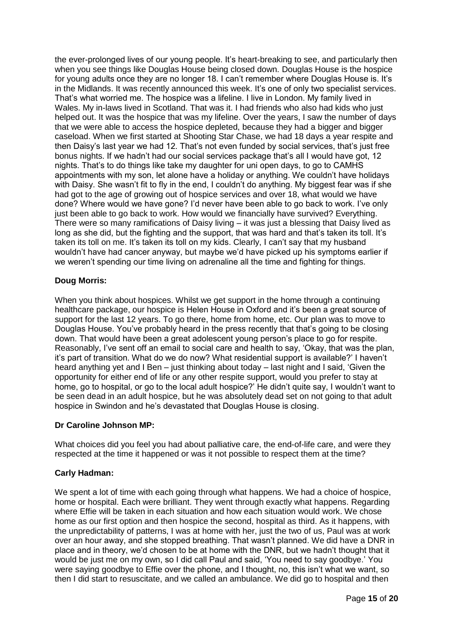the ever-prolonged lives of our young people. It's heart-breaking to see, and particularly then when you see things like Douglas House being closed down. Douglas House is the hospice for young adults once they are no longer 18. I can't remember where Douglas House is. It's in the Midlands. It was recently announced this week. It's one of only two specialist services. That's what worried me. The hospice was a lifeline. I live in London. My family lived in Wales. My in-laws lived in Scotland. That was it. I had friends who also had kids who just helped out. It was the hospice that was my lifeline. Over the years, I saw the number of days that we were able to access the hospice depleted, because they had a bigger and bigger caseload. When we first started at Shooting Star Chase, we had 18 days a year respite and then Daisy's last year we had 12. That's not even funded by social services, that's just free bonus nights. If we hadn't had our social services package that's all I would have got, 12 nights. That's to do things like take my daughter for uni open days, to go to CAMHS appointments with my son, let alone have a holiday or anything. We couldn't have holidays with Daisy. She wasn't fit to fly in the end, I couldn't do anything. My biggest fear was if she had got to the age of growing out of hospice services and over 18, what would we have done? Where would we have gone? I'd never have been able to go back to work. I've only just been able to go back to work. How would we financially have survived? Everything. There were so many ramifications of Daisy living – it was just a blessing that Daisy lived as long as she did, but the fighting and the support, that was hard and that's taken its toll. It's taken its toll on me. It's taken its toll on my kids. Clearly, I can't say that my husband wouldn't have had cancer anyway, but maybe we'd have picked up his symptoms earlier if we weren't spending our time living on adrenaline all the time and fighting for things.

# **Doug Morris:**

When you think about hospices. Whilst we get support in the home through a continuing healthcare package, our hospice is Helen House in Oxford and it's been a great source of support for the last 12 years. To go there, home from home, etc. Our plan was to move to Douglas House. You've probably heard in the press recently that that's going to be closing down. That would have been a great adolescent young person's place to go for respite. Reasonably, I've sent off an email to social care and health to say, 'Okay, that was the plan, it's part of transition. What do we do now? What residential support is available?' I haven't heard anything yet and I Ben – just thinking about today – last night and I said, 'Given the opportunity for either end of life or any other respite support, would you prefer to stay at home, go to hospital, or go to the local adult hospice?' He didn't quite say, I wouldn't want to be seen dead in an adult hospice, but he was absolutely dead set on not going to that adult hospice in Swindon and he's devastated that Douglas House is closing.

# **Dr Caroline Johnson MP:**

What choices did you feel you had about palliative care, the end-of-life care, and were they respected at the time it happened or was it not possible to respect them at the time?

## **Carly Hadman:**

We spent a lot of time with each going through what happens. We had a choice of hospice, home or hospital. Each were brilliant. They went through exactly what happens. Regarding where Effie will be taken in each situation and how each situation would work. We chose home as our first option and then hospice the second, hospital as third. As it happens, with the unpredictability of patterns, I was at home with her, just the two of us, Paul was at work over an hour away, and she stopped breathing. That wasn't planned. We did have a DNR in place and in theory, we'd chosen to be at home with the DNR, but we hadn't thought that it would be just me on my own, so I did call Paul and said, 'You need to say goodbye.' You were saying goodbye to Effie over the phone, and I thought, no, this isn't what we want, so then I did start to resuscitate, and we called an ambulance. We did go to hospital and then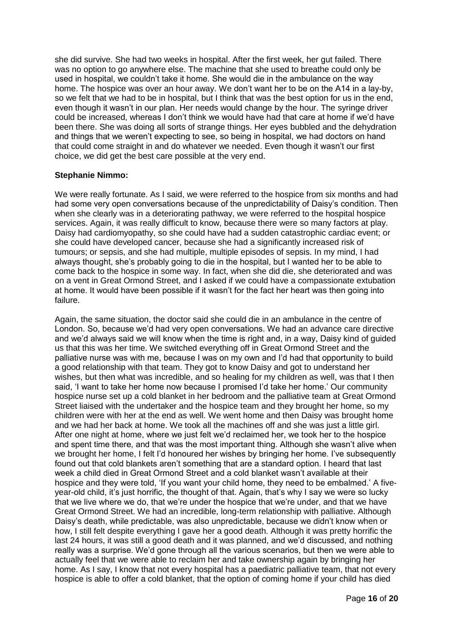she did survive. She had two weeks in hospital. After the first week, her gut failed. There was no option to go anywhere else. The machine that she used to breathe could only be used in hospital, we couldn't take it home. She would die in the ambulance on the way home. The hospice was over an hour away. We don't want her to be on the A14 in a lay-by, so we felt that we had to be in hospital, but I think that was the best option for us in the end, even though it wasn't in our plan. Her needs would change by the hour. The syringe driver could be increased, whereas I don't think we would have had that care at home if we'd have been there. She was doing all sorts of strange things. Her eyes bubbled and the dehydration and things that we weren't expecting to see, so being in hospital, we had doctors on hand that could come straight in and do whatever we needed. Even though it wasn't our first choice, we did get the best care possible at the very end.

## **Stephanie Nimmo:**

We were really fortunate. As I said, we were referred to the hospice from six months and had had some very open conversations because of the unpredictability of Daisy's condition. Then when she clearly was in a deteriorating pathway, we were referred to the hospital hospice services. Again, it was really difficult to know, because there were so many factors at play. Daisy had cardiomyopathy, so she could have had a sudden catastrophic cardiac event; or she could have developed cancer, because she had a significantly increased risk of tumours; or sepsis, and she had multiple, multiple episodes of sepsis. In my mind, I had always thought, she's probably going to die in the hospital, but I wanted her to be able to come back to the hospice in some way. In fact, when she did die, she deteriorated and was on a vent in Great Ormond Street, and I asked if we could have a compassionate extubation at home. It would have been possible if it wasn't for the fact her heart was then going into failure.

Again, the same situation, the doctor said she could die in an ambulance in the centre of London. So, because we'd had very open conversations. We had an advance care directive and we'd always said we will know when the time is right and, in a way, Daisy kind of guided us that this was her time. We switched everything off in Great Ormond Street and the palliative nurse was with me, because I was on my own and I'd had that opportunity to build a good relationship with that team. They got to know Daisy and got to understand her wishes, but then what was incredible, and so healing for my children as well, was that I then said, 'I want to take her home now because I promised I'd take her home.' Our community hospice nurse set up a cold blanket in her bedroom and the palliative team at Great Ormond Street liaised with the undertaker and the hospice team and they brought her home, so my children were with her at the end as well. We went home and then Daisy was brought home and we had her back at home. We took all the machines off and she was just a little girl. After one night at home, where we just felt we'd reclaimed her, we took her to the hospice and spent time there, and that was the most important thing. Although she wasn't alive when we brought her home, I felt I'd honoured her wishes by bringing her home. I've subsequently found out that cold blankets aren't something that are a standard option. I heard that last week a child died in Great Ormond Street and a cold blanket wasn't available at their hospice and they were told, 'If you want your child home, they need to be embalmed.' A fiveyear-old child, it's just horrific, the thought of that. Again, that's why I say we were so lucky that we live where we do, that we're under the hospice that we're under, and that we have Great Ormond Street. We had an incredible, long-term relationship with palliative. Although Daisy's death, while predictable, was also unpredictable, because we didn't know when or how, I still felt despite everything I gave her a good death. Although it was pretty horrific the last 24 hours, it was still a good death and it was planned, and we'd discussed, and nothing really was a surprise. We'd gone through all the various scenarios, but then we were able to actually feel that we were able to reclaim her and take ownership again by bringing her home. As I say, I know that not every hospital has a paediatric palliative team, that not every hospice is able to offer a cold blanket, that the option of coming home if your child has died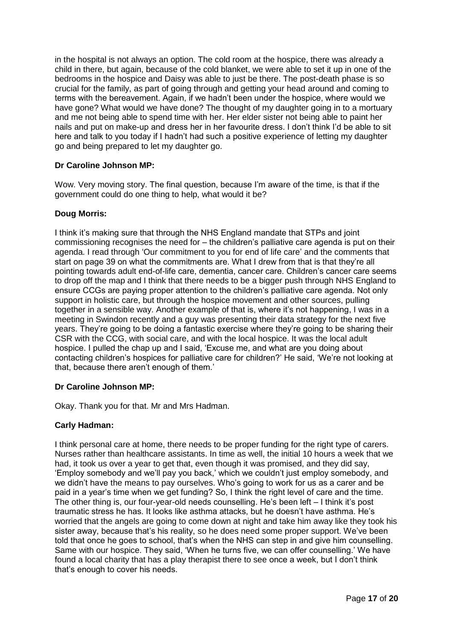in the hospital is not always an option. The cold room at the hospice, there was already a child in there, but again, because of the cold blanket, we were able to set it up in one of the bedrooms in the hospice and Daisy was able to just be there. The post-death phase is so crucial for the family, as part of going through and getting your head around and coming to terms with the bereavement. Again, if we hadn't been under the hospice, where would we have gone? What would we have done? The thought of my daughter going in to a mortuary and me not being able to spend time with her. Her elder sister not being able to paint her nails and put on make-up and dress her in her favourite dress. I don't think I'd be able to sit here and talk to you today if I hadn't had such a positive experience of letting my daughter go and being prepared to let my daughter go.

# **Dr Caroline Johnson MP:**

Wow. Very moving story. The final question, because I'm aware of the time, is that if the government could do one thing to help, what would it be?

# **Doug Morris:**

I think it's making sure that through the NHS England mandate that STPs and joint commissioning recognises the need for – the children's palliative care agenda is put on their agenda. I read through 'Our commitment to you for end of life care' and the comments that start on page 39 on what the commitments are. What I drew from that is that they're all pointing towards adult end-of-life care, dementia, cancer care. Children's cancer care seems to drop off the map and I think that there needs to be a bigger push through NHS England to ensure CCGs are paying proper attention to the children's palliative care agenda. Not only support in holistic care, but through the hospice movement and other sources, pulling together in a sensible way. Another example of that is, where it's not happening, I was in a meeting in Swindon recently and a guy was presenting their data strategy for the next five years. They're going to be doing a fantastic exercise where they're going to be sharing their CSR with the CCG, with social care, and with the local hospice. It was the local adult hospice. I pulled the chap up and I said, 'Excuse me, and what are you doing about contacting children's hospices for palliative care for children?' He said, 'We're not looking at that, because there aren't enough of them.'

## **Dr Caroline Johnson MP:**

Okay. Thank you for that. Mr and Mrs Hadman.

## **Carly Hadman:**

I think personal care at home, there needs to be proper funding for the right type of carers. Nurses rather than healthcare assistants. In time as well, the initial 10 hours a week that we had, it took us over a year to get that, even though it was promised, and they did say, 'Employ somebody and we'll pay you back,' which we couldn't just employ somebody, and we didn't have the means to pay ourselves. Who's going to work for us as a carer and be paid in a year's time when we get funding? So, I think the right level of care and the time. The other thing is, our four-year-old needs counselling. He's been left – I think it's post traumatic stress he has. It looks like asthma attacks, but he doesn't have asthma. He's worried that the angels are going to come down at night and take him away like they took his sister away, because that's his reality, so he does need some proper support. We've been told that once he goes to school, that's when the NHS can step in and give him counselling. Same with our hospice. They said, 'When he turns five, we can offer counselling.' We have found a local charity that has a play therapist there to see once a week, but I don't think that's enough to cover his needs.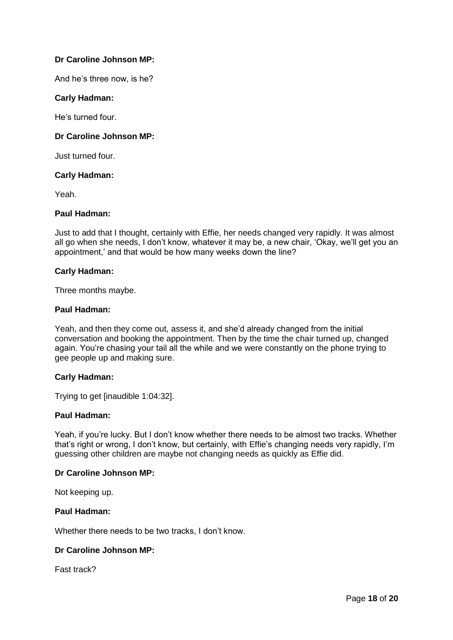## **Dr Caroline Johnson MP:**

And he's three now, is he?

## **Carly Hadman:**

He's turned four.

## **Dr Caroline Johnson MP:**

Just turned four.

## **Carly Hadman:**

Yeah.

## **Paul Hadman:**

Just to add that I thought, certainly with Effie, her needs changed very rapidly. It was almost all go when she needs, I don't know, whatever it may be, a new chair, 'Okay, we'll get you an appointment,' and that would be how many weeks down the line?

### **Carly Hadman:**

Three months maybe.

### **Paul Hadman:**

Yeah, and then they come out, assess it, and she'd already changed from the initial conversation and booking the appointment. Then by the time the chair turned up, changed again. You're chasing your tail all the while and we were constantly on the phone trying to gee people up and making sure.

### **Carly Hadman:**

Trying to get [inaudible 1:04:32].

## **Paul Hadman:**

Yeah, if you're lucky. But I don't know whether there needs to be almost two tracks. Whether that's right or wrong, I don't know, but certainly, with Effie's changing needs very rapidly, I'm guessing other children are maybe not changing needs as quickly as Effie did.

### **Dr Caroline Johnson MP:**

Not keeping up.

## **Paul Hadman:**

Whether there needs to be two tracks, I don't know.

## **Dr Caroline Johnson MP:**

Fast track?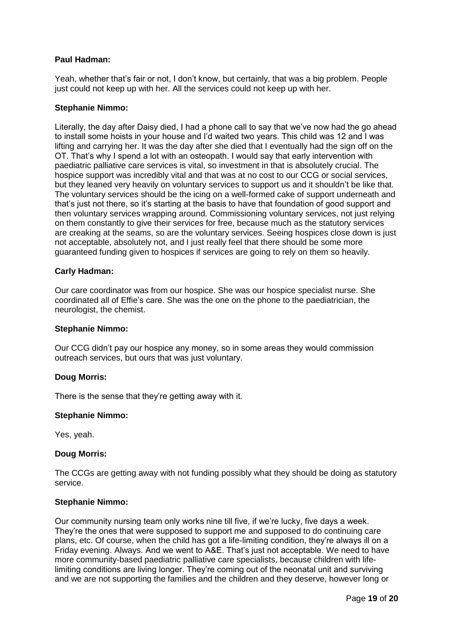## **Paul Hadman:**

Yeah, whether that's fair or not, I don't know, but certainly, that was a big problem. People just could not keep up with her. All the services could not keep up with her.

### **Stephanie Nimmo:**

Literally, the day after Daisy died, I had a phone call to say that we've now had the go ahead to install some hoists in your house and I'd waited two years. This child was 12 and I was lifting and carrying her. It was the day after she died that I eventually had the sign off on the OT. That's why I spend a lot with an osteopath. I would say that early intervention with paediatric palliative care services is vital, so investment in that is absolutely crucial. The hospice support was incredibly vital and that was at no cost to our CCG or social services, but they leaned very heavily on voluntary services to support us and it shouldn't be like that. The voluntary services should be the icing on a well-formed cake of support underneath and that's just not there, so it's starting at the basis to have that foundation of good support and then voluntary services wrapping around. Commissioning voluntary services, not just relying on them constantly to give their services for free, because much as the statutory services are creaking at the seams, so are the voluntary services. Seeing hospices close down is just not acceptable, absolutely not, and I just really feel that there should be some more guaranteed funding given to hospices if services are going to rely on them so heavily.

## **Carly Hadman:**

Our care coordinator was from our hospice. She was our hospice specialist nurse. She coordinated all of Effie's care. She was the one on the phone to the paediatrician, the neurologist, the chemist.

### **Stephanie Nimmo:**

Our CCG didn't pay our hospice any money, so in some areas they would commission outreach services, but ours that was just voluntary.

### **Doug Morris:**

There is the sense that they're getting away with it.

### **Stephanie Nimmo:**

Yes, yeah.

### **Doug Morris:**

The CCGs are getting away with not funding possibly what they should be doing as statutory service.

### **Stephanie Nimmo:**

Our community nursing team only works nine till five, if we're lucky, five days a week. They're the ones that were supposed to support me and supposed to do continuing care plans, etc. Of course, when the child has got a life-limiting condition, they're always ill on a Friday evening. Always. And we went to A&E. That's just not acceptable. We need to have more community-based paediatric palliative care specialists, because children with lifelimiting conditions are living longer. They're coming out of the neonatal unit and surviving and we are not supporting the families and the children and they deserve, however long or